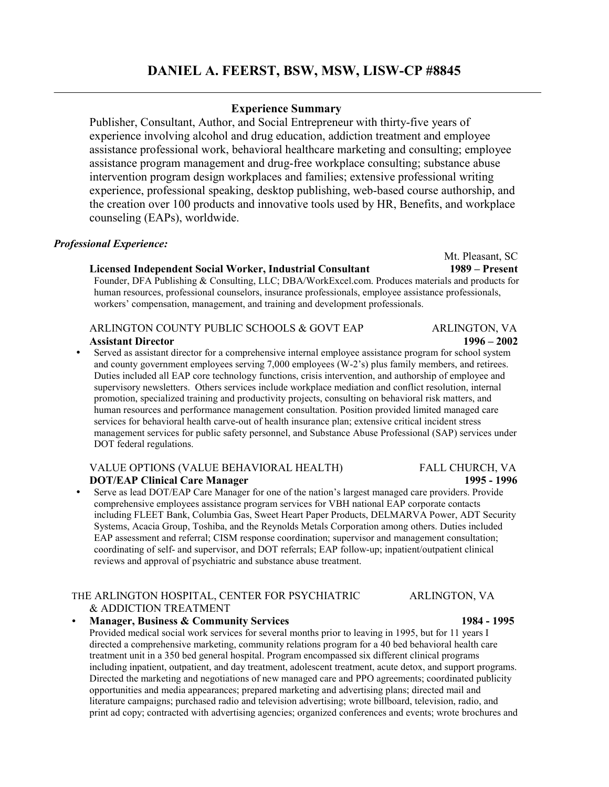# **DANIEL A. FEERST, BSW, MSW, LISW-CP #8845**

# **Experience Summary**

Publisher, Consultant, Author, and Social Entrepreneur with thirty-five years of experience involving alcohol and drug education, addiction treatment and employee assistance professional work, behavioral healthcare marketing and consulting; employee assistance program management and drug-free workplace consulting; substance abuse intervention program design workplaces and families; extensive professional writing experience, professional speaking, desktop publishing, web-based course authorship, and the creation over 100 products and innovative tools used by HR, Benefits, and workplace counseling (EAPs), worldwide.

# *Professional Experience:*

# **Licensed Independent Social Worker, Industrial Consultant 1989 – Present**

Founder, DFA Publishing & Consulting, LLC; DBA/WorkExcel.com. Produces materials and products for human resources, professional counselors, insurance professionals, employee assistance professionals, workers' compensation, management, and training and development professionals.

# ARLINGTON COUNTY PUBLIC SCHOOLS & GOVT EAP ARLINGTON, VA

 **Assistant Director 1996 – 2002** 

 Served as assistant director for a comprehensive internal employee assistance program for school system and county government employees serving 7,000 employees (W-2's) plus family members, and retirees. Duties included all EAP core technology functions, crisis intervention, and authorship of employee and supervisory newsletters. Others services include workplace mediation and conflict resolution, internal promotion, specialized training and productivity projects, consulting on behavioral risk matters, and human resources and performance management consultation. Position provided limited managed care services for behavioral health carve-out of health insurance plan; extensive critical incident stress management services for public safety personnel, and Substance Abuse Professional (SAP) services under DOT federal regulations.

# VALUE OPTIONS (VALUE BEHAVIORAL HEALTH) FALL CHURCH, VA  **DOT/EAP Clinical Care Manager 1995 - 1996**

 Serve as lead DOT/EAP Care Manager for one of the nation's largest managed care providers. Provide comprehensive employees assistance program services for VBH national EAP corporate contacts including FLEET Bank, Columbia Gas, Sweet Heart Paper Products, DELMARVA Power, ADT Security Systems, Acacia Group, Toshiba, and the Reynolds Metals Corporation among others. Duties included EAP assessment and referral; CISM response coordination; supervisor and management consultation; coordinating of self- and supervisor, and DOT referrals; EAP follow-up; inpatient/outpatient clinical reviews and approval of psychiatric and substance abuse treatment.

# THE ARLINGTON HOSPITAL, CENTER FOR PSYCHIATRIC ARLINGTON, VA & ADDICTION TREATMENT

**Manager, Business & Community Services** 1984 - 1995 Provided medical social work services for several months prior to leaving in 1995, but for 11 years I directed a comprehensive marketing, community relations program for a 40 bed behavioral health care treatment unit in a 350 bed general hospital. Program encompassed six different clinical programs including inpatient, outpatient, and day treatment, adolescent treatment, acute detox, and support programs. Directed the marketing and negotiations of new managed care and PPO agreements; coordinated publicity opportunities and media appearances; prepared marketing and advertising plans; directed mail and literature campaigns; purchased radio and television advertising; wrote billboard, television, radio, and print ad copy; contracted with advertising agencies; organized conferences and events; wrote brochures and

Mt. Pleasant, SC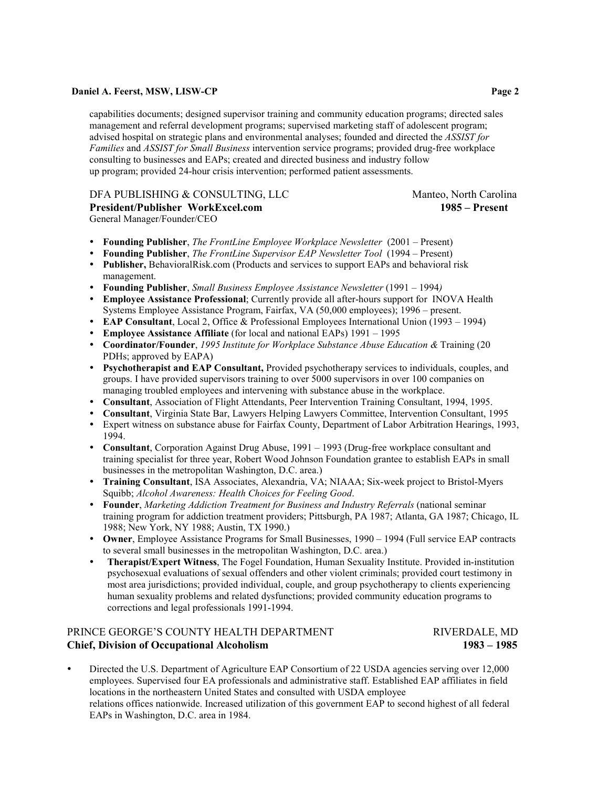capabilities documents; designed supervisor training and community education programs; directed sales management and referral development programs; supervised marketing staff of adolescent program; advised hospital on strategic plans and environmental analyses; founded and directed the *ASSIST for Families* and *ASSIST for Small Business* intervention service programs; provided drug-free workplace consulting to businesses and EAPs; created and directed business and industry follow up program; provided 24-hour crisis intervention; performed patient assessments.

# DFA PUBLISHING & CONSULTING, LLC Manteo, North Carolina **President/Publisher WorkExcel.com 1985 – Present**

General Manager/Founder/CEO

- **Founding Publisher**, *The FrontLine Employee Workplace Newsletter* (2001 Present)
- **Founding Publisher**, *The FrontLine Supervisor EAP Newsletter Tool* (1994 Present)
- **Publisher,** BehavioralRisk.com (Products and services to support EAPs and behavioral risk management.
- **Founding Publisher**, *Small Business Employee Assistance Newsletter* (1991 1994*)*
- **Employee Assistance Professional**; Currently provide all after-hours support for INOVA Health Systems Employee Assistance Program, Fairfax, VA (50,000 employees); 1996 – present.
- **EAP Consultant**, Local 2, Office & Professional Employees International Union (1993 1994)
- **Employee Assistance Affiliate** (for local and national EAPs) 1991 1995
- **Coordinator/Founder**, *1995 Institute for Workplace Substance Abuse Education &* Training (20 PDHs; approved by EAPA)
- **Psychotherapist and EAP Consultant,** Provided psychotherapy services to individuals, couples, and groups. I have provided supervisors training to over 5000 supervisors in over 100 companies on managing troubled employees and intervening with substance abuse in the workplace.
- **Consultant**, Association of Flight Attendants, Peer Intervention Training Consultant, 1994, 1995.
- **Consultant**, Virginia State Bar, Lawyers Helping Lawyers Committee, Intervention Consultant, 1995
- Expert witness on substance abuse for Fairfax County, Department of Labor Arbitration Hearings, 1993, 1994.
- **Consultant**, Corporation Against Drug Abuse, 1991 1993 (Drug-free workplace consultant and training specialist for three year, Robert Wood Johnson Foundation grantee to establish EAPs in small businesses in the metropolitan Washington, D.C. area.)
- **Training Consultant**, ISA Associates, Alexandria, VA; NIAAA; Six-week project to Bristol-Myers Squibb; *Alcohol Awareness: Health Choices for Feeling Good*.
- **Founder**, *Marketing Addiction Treatment for Business and Industry Referrals* (national seminar training program for addiction treatment providers; Pittsburgh, PA 1987; Atlanta, GA 1987; Chicago, IL 1988; New York, NY 1988; Austin, TX 1990.)
- **Owner**, Employee Assistance Programs for Small Businesses, 1990 1994 (Full service EAP contracts to several small businesses in the metropolitan Washington, D.C. area.)
- **Therapist/Expert Witness**, The Fogel Foundation, Human Sexuality Institute. Provided in-institution psychosexual evaluations of sexual offenders and other violent criminals; provided court testimony in most area jurisdictions; provided individual, couple, and group psychotherapy to clients experiencing human sexuality problems and related dysfunctions; provided community education programs to corrections and legal professionals 1991-1994.

# PRINCE GEORGE'S COUNTY HEALTH DEPARTMENT FOR THE RIVERDALE, MD **Chief, Division of Occupational Alcoholism 1983 – 1985**

 Directed the U.S. Department of Agriculture EAP Consortium of 22 USDA agencies serving over 12,000 employees. Supervised four EA professionals and administrative staff. Established EAP affiliates in field locations in the northeastern United States and consulted with USDA employee relations offices nationwide. Increased utilization of this government EAP to second highest of all federal EAPs in Washington, D.C. area in 1984.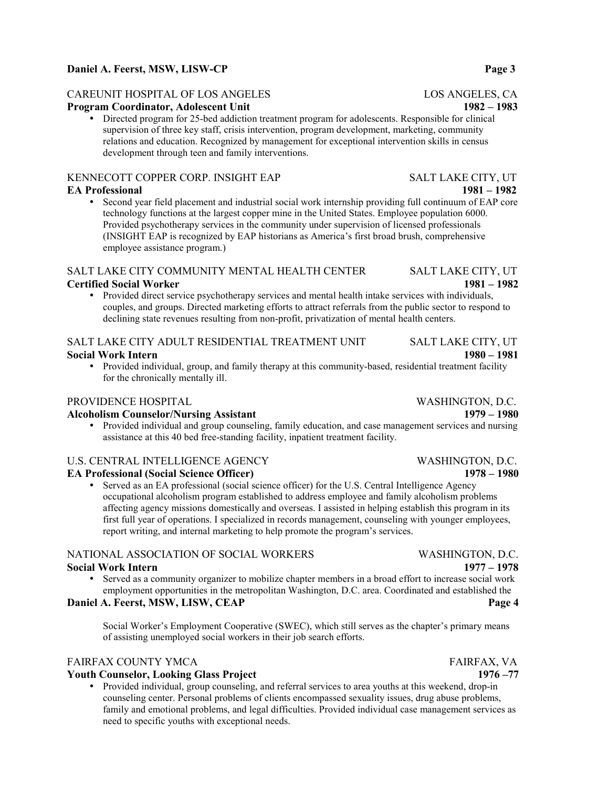# CAREUNIT HOSPITAL OF LOS ANGELES LOS ANGELES, CA

# **Program Coordinator, Adolescent Unit 1982 – 1983**

 Directed program for 25-bed addiction treatment program for adolescents. Responsible for clinical supervision of three key staff, crisis intervention, program development, marketing, community relations and education. Recognized by management for exceptional intervention skills in census development through teen and family interventions.

# KENNECOTT COPPER CORP. INSIGHT EAP SALT LAKE CITY, UT

 Second year field placement and industrial social work internship providing full continuum of EAP core technology functions at the largest copper mine in the United States. Employee population 6000. Provided psychotherapy services in the community under supervision of licensed professionals (INSIGHT EAP is recognized by EAP historians as America's first broad brush, comprehensive employee assistance program.)

# SALT LAKE CITY COMMUNITY MENTAL HEALTH CENTER SALT LAKE CITY, UT **Certified Social Worker 1981 – 1982**

 Provided direct service psychotherapy services and mental health intake services with individuals, couples, and groups. Directed marketing efforts to attract referrals from the public sector to respond to declining state revenues resulting from non-profit, privatization of mental health centers.

# SALT LAKE CITY ADULT RESIDENTIAL TREATMENT UNIT SALT LAKE CITY, UT **Social Work Intern 1980 – 1981**

 Provided individual, group, and family therapy at this community-based, residential treatment facility for the chronically mentally ill.

# PROVIDENCE HOSPITAL THE RESERVE OF STREET WASHINGTON, D.C.

## **Alcoholism Counselor/Nursing Assistant 1979 – 1980**

 Provided individual and group counseling, family education, and case management services and nursing assistance at this 40 bed free-standing facility, inpatient treatment facility.

# U.S. CENTRAL INTELLIGENCE AGENCY WASHINGTON, D.C.

# **EA Professional (Social Science Officer) 1978 – 1980**

 Served as an EA professional (social science officer) for the U.S. Central Intelligence Agency occupational alcoholism program established to address employee and family alcoholism problems affecting agency missions domestically and overseas. I assisted in helping establish this program in its first full year of operations. I specialized in records management, counseling with younger employees, report writing, and internal marketing to help promote the program's services.

# NATIONAL ASSOCIATION OF SOCIAL WORKERS WASHINGTON, D.C. **Social Work Intern 1977 – 1978**

 Served as a community organizer to mobilize chapter members in a broad effort to increase social work employment opportunities in the metropolitan Washington, D.C. area. Coordinated and established the

# **Daniel A. Feerst, MSW, LISW, CEAP** Page 4

Social Worker's Employment Cooperative (SWEC), which still serves as the chapter's primary means of assisting unemployed social workers in their job search efforts.

# FAIRFAX COUNTY YMCA FAIRFAX, VA

# **Youth Counselor, Looking Glass Project 1976 –77**

 Provided individual, group counseling, and referral services to area youths at this weekend, drop-in counseling center. Personal problems of clients encompassed sexuality issues, drug abuse problems, family and emotional problems, and legal difficulties. Provided individual case management services as need to specific youths with exceptional needs.

# **EA Professional 1981 – 1982**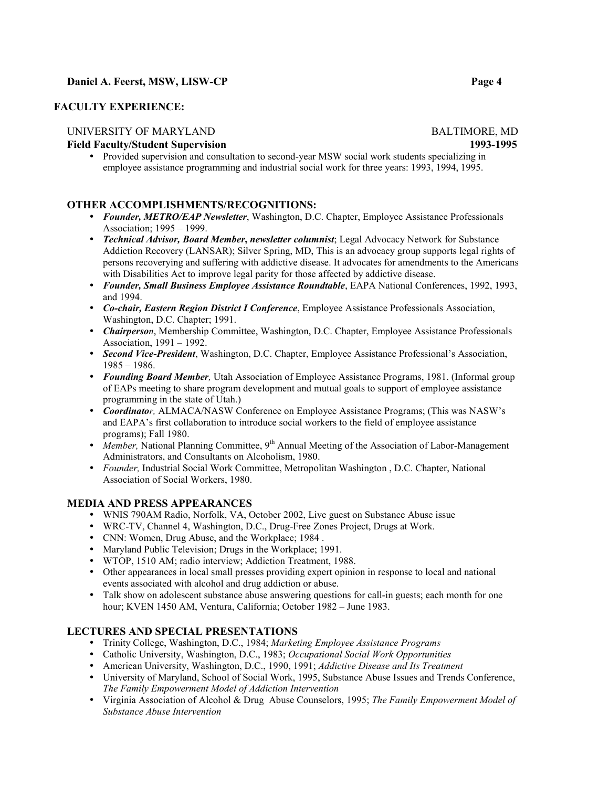# **FACULTY EXPERIENCE:**

# UNIVERSITY OF MARYLAND BALTIMORE, MD

**Field Faculty/Student Supervision 1993-1995** 

 Provided supervision and consultation to second-year MSW social work students specializing in employee assistance programming and industrial social work for three years: 1993, 1994, 1995.

# **OTHER ACCOMPLISHMENTS/RECOGNITIONS:**

- *Founder, METRO/EAP Newsletter*, Washington, D.C. Chapter, Employee Assistance Professionals Association; 1995 – 1999.
- *Technical Advisor, Board Member***,** *newsletter columnist*; Legal Advocacy Network for Substance Addiction Recovery (LANSAR); Silver Spring, MD, This is an advocacy group supports legal rights of persons recoverying and suffering with addictive disease. It advocates for amendments to the Americans with Disabilities Act to improve legal parity for those affected by addictive disease.
- *Founder, Small Business Employee Assistance Roundtable*, EAPA National Conferences, 1992, 1993, and 1994.
- *Co-chair, Eastern Region District I Conference*, Employee Assistance Professionals Association, Washington, D.C. Chapter; 1991.
- *Chairperson*, Membership Committee, Washington, D.C. Chapter, Employee Assistance Professionals Association, 1991 – 1992.
- *Second Vice-President*, Washington, D.C. Chapter, Employee Assistance Professional's Association, 1985 – 1986.
- *Founding Board Member,* Utah Association of Employee Assistance Programs, 1981. (Informal group of EAPs meeting to share program development and mutual goals to support of employee assistance programming in the state of Utah.)
- *Coordinator,* ALMACA/NASW Conference on Employee Assistance Programs; (This was NASW's and EAPA's first collaboration to introduce social workers to the field of employee assistance programs); Fall 1980.
- Member, National Planning Committee, 9<sup>th</sup> Annual Meeting of the Association of Labor-Management Administrators, and Consultants on Alcoholism, 1980.
- *Founder,* Industrial Social Work Committee, Metropolitan Washington , D.C. Chapter, National Association of Social Workers, 1980.

# **MEDIA AND PRESS APPEARANCES**

- WNIS 790AM Radio, Norfolk, VA, October 2002, Live guest on Substance Abuse issue
- WRC-TV, Channel 4, Washington, D.C., Drug-Free Zones Project, Drugs at Work.
- CNN: Women, Drug Abuse, and the Workplace: 1984.
- Maryland Public Television; Drugs in the Workplace; 1991.
- WTOP, 1510 AM; radio interview; Addiction Treatment, 1988.
- Other appearances in local small presses providing expert opinion in response to local and national events associated with alcohol and drug addiction or abuse.
- Talk show on adolescent substance abuse answering questions for call-in guests; each month for one hour; KVEN 1450 AM, Ventura, California; October 1982 – June 1983.

# **LECTURES AND SPECIAL PRESENTATIONS**

- Trinity College, Washington, D.C., 1984; *Marketing Employee Assistance Programs*
- Catholic University, Washington, D.C., 1983; *Occupational Social Work Opportunities*
- American University, Washington, D.C., 1990, 1991; *Addictive Disease and Its Treatment*
- University of Maryland, School of Social Work, 1995, Substance Abuse Issues and Trends Conference, *The Family Empowerment Model of Addiction Intervention*
- Virginia Association of Alcohol & Drug Abuse Counselors, 1995; *The Family Empowerment Model of Substance Abuse Intervention*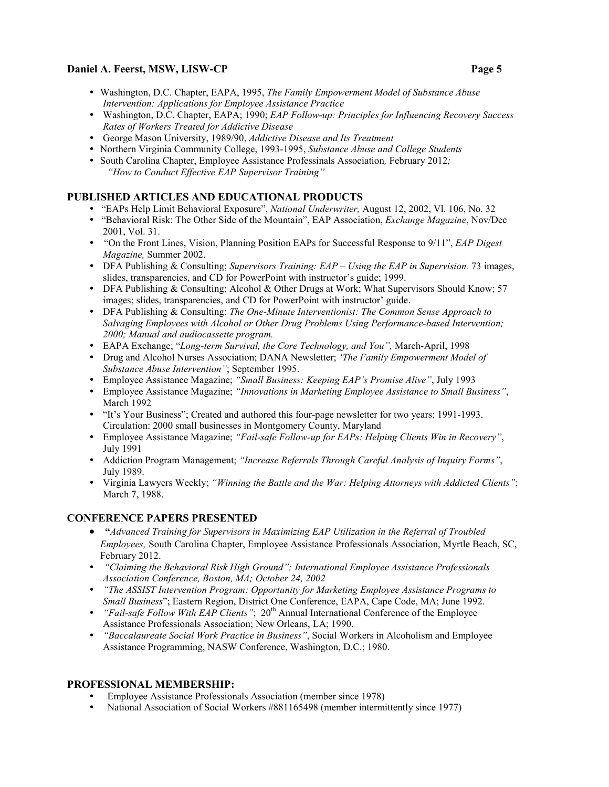- Washington, D.C. Chapter, EAPA, 1995, *The Family Empowerment Model of Substance Abuse Intervention: Applications for Employee Assistance Practice*
- Washington, D.C. Chapter, EAPA; 1990; *EAP Follow-up: Principles for Influencing Recovery Success Rates of Workers Treated for Addictive Disease*
- George Mason University, 1989/90, *Addictive Disease and Its Treatment*
- Northern Virginia Community College, 1993-1995, *Substance Abuse and College Students*
- South Carolina Chapter, Employee Assistance Professinals Association*,* February 2012*; "How to Conduct Effective EAP Supervisor Training"*

# **PUBLISHED ARTICLES AND EDUCATIONAL PRODUCTS**

- "EAPs Help Limit Behavioral Exposure", *National Underwriter,* August 12, 2002, Vl. 106, No. 32
- "Behavioral Risk: The Other Side of the Mountain", EAP Association, *Exchange Magazine*, Nov/Dec 2001, Vol. 31.
- "On the Front Lines, Vision, Planning Position EAPs for Successful Response to 9/11", *EAP Digest Magazine,* Summer 2002.
- DFA Publishing & Consulting; *Supervisors Training: EAP Using the EAP in Supervision.* 73 images, slides, transparencies, and CD for PowerPoint with instructor's guide; 1999.
- DFA Publishing & Consulting; Alcohol & Other Drugs at Work; What Supervisors Should Know; 57 images; slides, transparencies, and CD for PowerPoint with instructor' guide.
- DFA Publishing & Consulting; *The One-Minute Interventionist: The Common Sense Approach to Salvaging Employees with Alcohol or Other Drug Problems Using Performance-based Intervention; 2000; Manual and audiocassette program.*
- EAPA Exchange; "*Long-term Survival, the Core Technology, and You",* March-April, 1998
- Drug and Alcohol Nurses Association; DANA Newsletter; *'The Family Empowerment Model of Substance Abuse Intervention"*; September 1995.
- Employee Assistance Magazine; *"Small Business: Keeping EAP's Promise Alive"*, July 1993
- Employee Assistance Magazine; *"Innovations in Marketing Employee Assistance to Small Business"*, March 1992
- "It's Your Business"; Created and authored this four-page newsletter for two years; 1991-1993. Circulation: 2000 small businesses in Montgomery County, Maryland
- Employee Assistance Magazine; *"Fail-safe Follow-up for EAPs: Helping Clients Win in Recovery"*, July 1991
- Addiction Program Management; *"Increase Referrals Through Careful Analysis of Inquiry Forms"*, July 1989.
- Virginia Lawyers Weekly; *"Winning the Battle and the War: Helping Attorneys with Addicted Clients"*; March 7, 1988.

# **CONFERENCE PAPERS PRESENTED**

- • **"***Advanced Training for Supervisors in Maximizing EAP Utilization in the Referral of Troubled Employees,* South Carolina Chapter, Employee Assistance Professionals Association, Myrtle Beach, SC, February 2012.
- *"Claiming the Behavioral Risk High Ground"; International Employee Assistance Professionals Association Conference, Boston, MA; October 24, 2002*
- *"The ASSIST Intervention Program: Opportunity for Marketing Employee Assistance Programs to Small Business*"; Eastern Region, District One Conference, EAPA, Cape Code, MA; June 1992.
- <sup>•</sup> *"Fail-safe Follow With EAP Clients"*; 20<sup>th</sup> Annual International Conference of the Employee Assistance Professionals Association; New Orleans, LA; 1990.
- *"Baccalaureate Social Work Practice in Business"*, Social Workers in Alcoholism and Employee Assistance Programming, NASW Conference, Washington, D.C.; 1980.

## **PROFESSIONAL MEMBERSHIP:**

- Employee Assistance Professionals Association (member since 1978)
- National Association of Social Workers #881165498 (member intermittently since 1977)